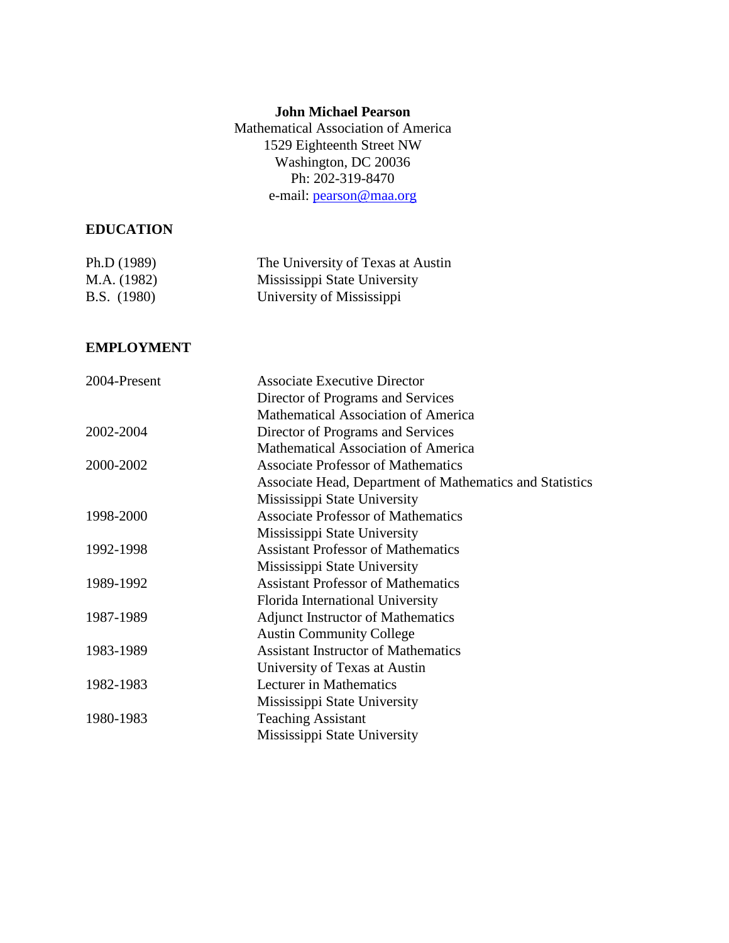# **John Michael Pearson**

Mathematical Association of America 1529 Eighteenth Street NW Washington, DC 20036 Ph: 202-319-8470 e-mail: [pearson@maa.org](mailto:pearson@maa.org)

# **EDUCATION**

| Ph.D (1989)        | The University of Texas at Austin |
|--------------------|-----------------------------------|
| M.A. (1982)        | Mississippi State University      |
| <b>B.S.</b> (1980) | University of Mississippi         |

#### **EMPLOYMENT**

| 2004-Present | <b>Associate Executive Director</b>                      |
|--------------|----------------------------------------------------------|
|              | Director of Programs and Services                        |
|              | Mathematical Association of America                      |
| 2002-2004    | Director of Programs and Services                        |
|              | <b>Mathematical Association of America</b>               |
| 2000-2002    | <b>Associate Professor of Mathematics</b>                |
|              | Associate Head, Department of Mathematics and Statistics |
|              | Mississippi State University                             |
| 1998-2000    | <b>Associate Professor of Mathematics</b>                |
|              | Mississippi State University                             |
| 1992-1998    | <b>Assistant Professor of Mathematics</b>                |
|              | Mississippi State University                             |
| 1989-1992    | <b>Assistant Professor of Mathematics</b>                |
|              | Florida International University                         |
| 1987-1989    | <b>Adjunct Instructor of Mathematics</b>                 |
|              | <b>Austin Community College</b>                          |
| 1983-1989    | <b>Assistant Instructor of Mathematics</b>               |
|              | University of Texas at Austin                            |
| 1982-1983    | Lecturer in Mathematics                                  |
|              | Mississippi State University                             |
| 1980-1983    | <b>Teaching Assistant</b>                                |
|              | Mississippi State University                             |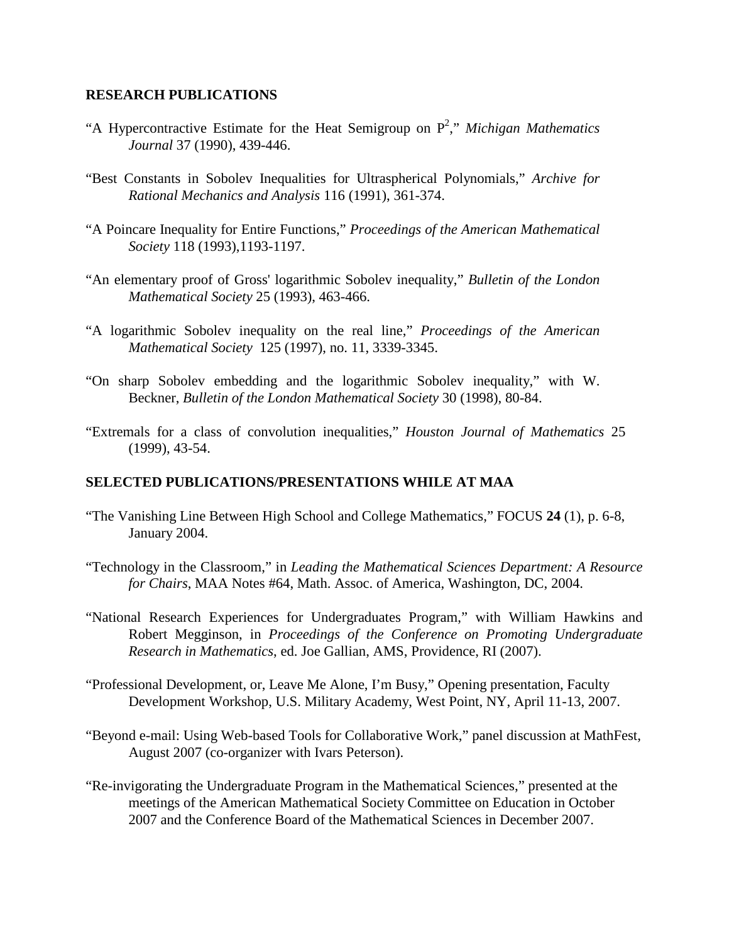#### **RESEARCH PUBLICATIONS**

- "A Hypercontractive Estimate for the Heat Semigroup on  $P^2$ ," *Michigan Mathematics Journal* 37 (1990), 439-446.
- "Best Constants in Sobolev Inequalities for Ultraspherical Polynomials," *Archive for Rational Mechanics and Analysis* 116 (1991), 361-374.
- "A Poincare Inequality for Entire Functions," *Proceedings of the American Mathematical Society* 118 (1993),1193-1197.
- "An elementary proof of Gross' logarithmic Sobolev inequality," *Bulletin of the London Mathematical Society* 25 (1993), 463-466.
- "A logarithmic Sobolev inequality on the real line," *Proceedings of the American Mathematical Society* 125 (1997), no. 11, 3339-3345.
- "On sharp Sobolev embedding and the logarithmic Sobolev inequality," with W. Beckner, *Bulletin of the London Mathematical Society* 30 (1998), 80-84.
- "Extremals for a class of convolution inequalities," *Houston Journal of Mathematics* 25 (1999), 43-54.

#### **SELECTED PUBLICATIONS/PRESENTATIONS WHILE AT MAA**

- "The Vanishing Line Between High School and College Mathematics," FOCUS **24** (1), p. 6-8, January 2004.
- "Technology in the Classroom," in *Leading the Mathematical Sciences Department: A Resource for Chairs*, MAA Notes #64, Math. Assoc. of America, Washington, DC, 2004.
- "National Research Experiences for Undergraduates Program," with William Hawkins and Robert Megginson, in *Proceedings of the Conference on Promoting Undergraduate Research in Mathematics*, ed. Joe Gallian, AMS, Providence, RI (2007).
- "Professional Development, or, Leave Me Alone, I'm Busy," Opening presentation, Faculty Development Workshop, U.S. Military Academy, West Point, NY, April 11-13, 2007.
- "Beyond e-mail: Using Web-based Tools for Collaborative Work," panel discussion at MathFest, August 2007 (co-organizer with Ivars Peterson).
- "Re-invigorating the Undergraduate Program in the Mathematical Sciences," presented at the meetings of the American Mathematical Society Committee on Education in October 2007 and the Conference Board of the Mathematical Sciences in December 2007.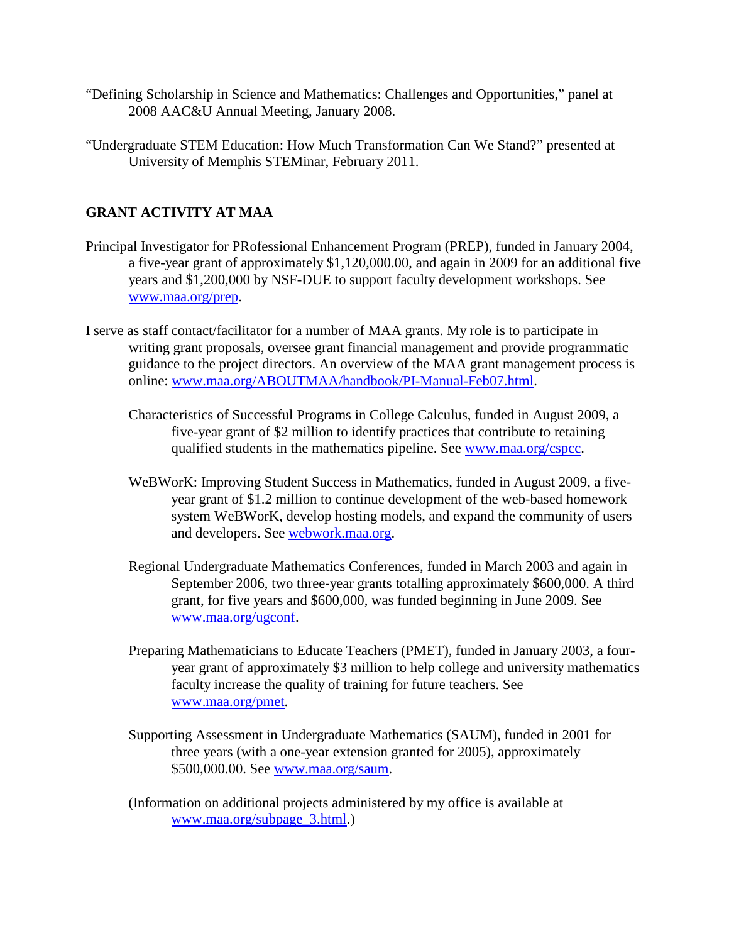- "Defining Scholarship in Science and Mathematics: Challenges and Opportunities," panel at 2008 AAC&U Annual Meeting, January 2008.
- "Undergraduate STEM Education: How Much Transformation Can We Stand?" presented at University of Memphis STEMinar, February 2011.

# **GRANT ACTIVITY AT MAA**

- Principal Investigator for PRofessional Enhancement Program (PREP), funded in January 2004, a five-year grant of approximately \$1,120,000.00, and again in 2009 for an additional five years and \$1,200,000 by NSF-DUE to support faculty development workshops. See [www.maa.org/prep.](http://www.maa.org/prep)
- I serve as staff contact/facilitator for a number of MAA grants. My role is to participate in writing grant proposals, oversee grant financial management and provide programmatic guidance to the project directors. An overview of the MAA grant management process is online: [www.maa.org/ABOUTMAA/handbook/PI-Manual-Feb07.html.](http://www.maa.org/ABOUTMAA/handbook/PI-Manual-Feb07.html)
	- Characteristics of Successful Programs in College Calculus, funded in August 2009, a five-year grant of \$2 million to identify practices that contribute to retaining qualified students in the mathematics pipeline. See [www.maa.org/cspcc.](http://www.maa.org/cspcc)
	- WeBWorK: Improving Student Success in Mathematics, funded in August 2009, a fiveyear grant of \$1.2 million to continue development of the web-based homework system WeBWorK, develop hosting models, and expand the community of users and developers. See [webwork.maa.org.](http://webwork.maa.org/)
	- Regional Undergraduate Mathematics Conferences, funded in March 2003 and again in September 2006, two three-year grants totalling approximately \$600,000. A third grant, for five years and \$600,000, was funded beginning in June 2009. See [www.maa.org/ugconf.](http://www.maa.org/ugconf)
	- Preparing Mathematicians to Educate Teachers (PMET), funded in January 2003, a fouryear grant of approximately \$3 million to help college and university mathematics faculty increase the quality of training for future teachers. See [www.maa.org/pmet.](http://www.maa.org/pmet)
	- Supporting Assessment in Undergraduate Mathematics (SAUM), funded in 2001 for three years (with a one-year extension granted for 2005), approximately \$500,000.00. See [www.maa.org/saum.](http://www.maa.org/saum)
	- (Information on additional projects administered by my office is available at [www.maa.org/subpage\\_3.html.](http://www.maa.org/subpage_3.html))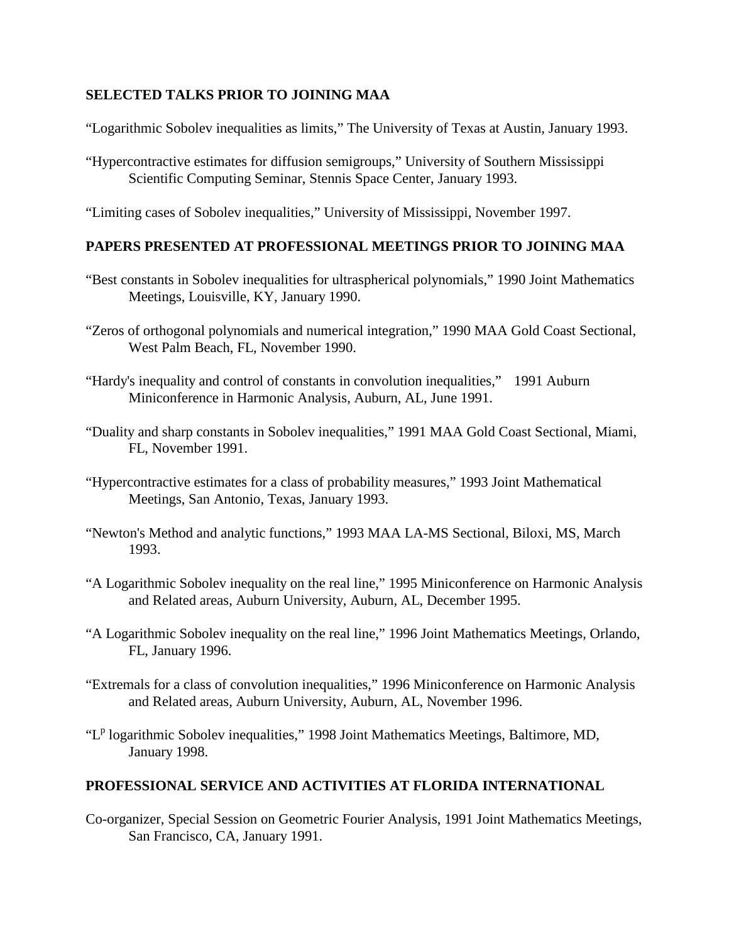# **SELECTED TALKS PRIOR TO JOINING MAA**

"Logarithmic Sobolev inequalities as limits," The University of Texas at Austin, January 1993.

"Hypercontractive estimates for diffusion semigroups," University of Southern Mississippi Scientific Computing Seminar, Stennis Space Center, January 1993.

"Limiting cases of Sobolev inequalities," University of Mississippi, November 1997.

# **PAPERS PRESENTED AT PROFESSIONAL MEETINGS PRIOR TO JOINING MAA**

- "Best constants in Sobolev inequalities for ultraspherical polynomials," 1990 Joint Mathematics Meetings, Louisville, KY, January 1990.
- "Zeros of orthogonal polynomials and numerical integration," 1990 MAA Gold Coast Sectional, West Palm Beach, FL, November 1990.
- "Hardy's inequality and control of constants in convolution inequalities," 1991 Auburn Miniconference in Harmonic Analysis, Auburn, AL, June 1991.
- "Duality and sharp constants in Sobolev inequalities," 1991 MAA Gold Coast Sectional, Miami, FL, November 1991.
- "Hypercontractive estimates for a class of probability measures," 1993 Joint Mathematical Meetings, San Antonio, Texas, January 1993.
- "Newton's Method and analytic functions," 1993 MAA LA-MS Sectional, Biloxi, MS, March 1993.
- "A Logarithmic Sobolev inequality on the real line," 1995 Miniconference on Harmonic Analysis and Related areas, Auburn University, Auburn, AL, December 1995.
- "A Logarithmic Sobolev inequality on the real line," 1996 Joint Mathematics Meetings, Orlando, FL, January 1996.
- "Extremals for a class of convolution inequalities," 1996 Miniconference on Harmonic Analysis and Related areas, Auburn University, Auburn, AL, November 1996.
- " $L^p$  logarithmic Sobolev inequalities," 1998 Joint Mathematics Meetings, Baltimore, MD, January 1998.

# **PROFESSIONAL SERVICE AND ACTIVITIES AT FLORIDA INTERNATIONAL**

Co-organizer, Special Session on Geometric Fourier Analysis, 1991 Joint Mathematics Meetings, San Francisco, CA, January 1991.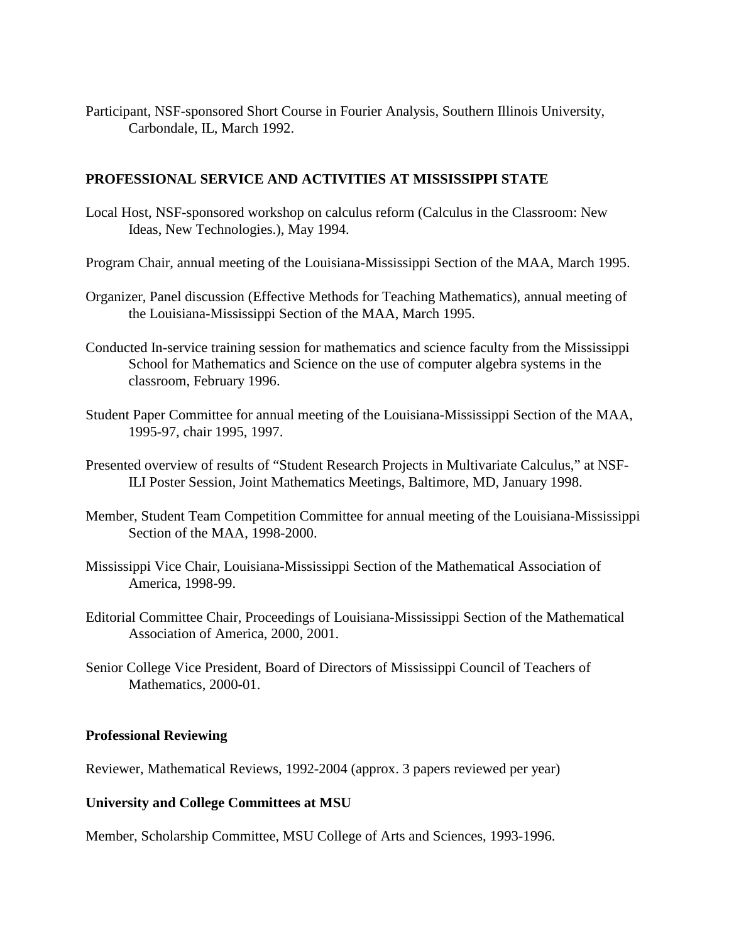Participant, NSF-sponsored Short Course in Fourier Analysis, Southern Illinois University, Carbondale, IL, March 1992.

### **PROFESSIONAL SERVICE AND ACTIVITIES AT MISSISSIPPI STATE**

- Local Host, NSF-sponsored workshop on calculus reform (Calculus in the Classroom: New Ideas, New Technologies.), May 1994.
- Program Chair, annual meeting of the Louisiana-Mississippi Section of the MAA, March 1995.
- Organizer, Panel discussion (Effective Methods for Teaching Mathematics), annual meeting of the Louisiana-Mississippi Section of the MAA, March 1995.
- Conducted In-service training session for mathematics and science faculty from the Mississippi School for Mathematics and Science on the use of computer algebra systems in the classroom, February 1996.
- Student Paper Committee for annual meeting of the Louisiana-Mississippi Section of the MAA, 1995-97, chair 1995, 1997.
- Presented overview of results of "Student Research Projects in Multivariate Calculus," at NSF-ILI Poster Session, Joint Mathematics Meetings, Baltimore, MD, January 1998.
- Member, Student Team Competition Committee for annual meeting of the Louisiana-Mississippi Section of the MAA, 1998-2000.
- Mississippi Vice Chair, Louisiana-Mississippi Section of the Mathematical Association of America, 1998-99.
- Editorial Committee Chair, Proceedings of Louisiana-Mississippi Section of the Mathematical Association of America, 2000, 2001.
- Senior College Vice President, Board of Directors of Mississippi Council of Teachers of Mathematics, 2000-01.

#### **Professional Reviewing**

Reviewer, Mathematical Reviews, 1992-2004 (approx. 3 papers reviewed per year)

#### **University and College Committees at MSU**

Member, Scholarship Committee, MSU College of Arts and Sciences, 1993-1996.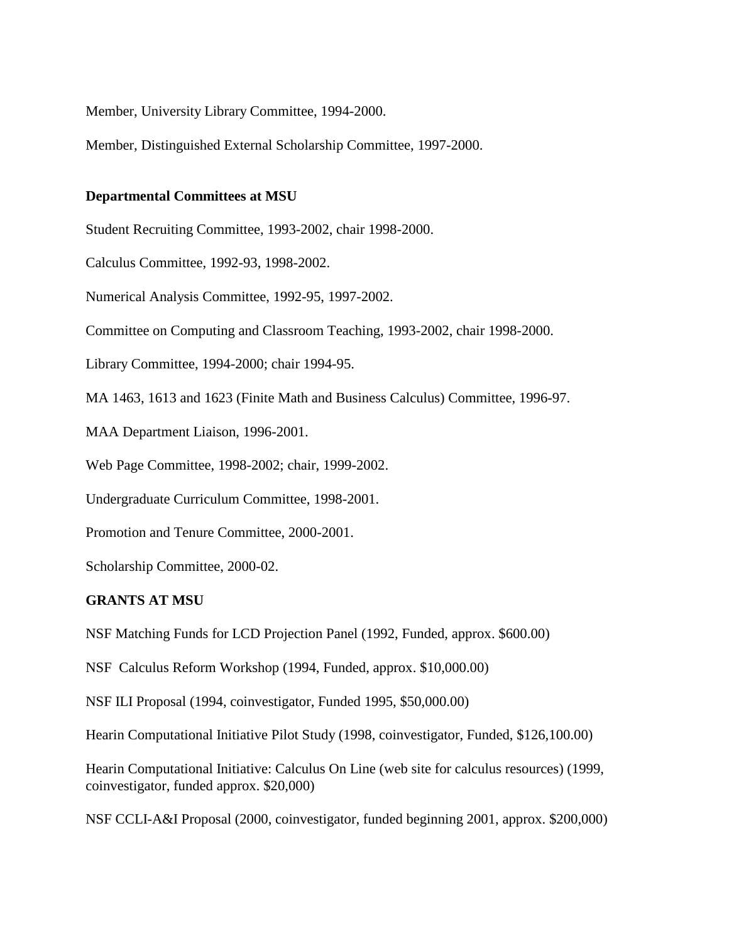Member, University Library Committee, 1994-2000.

Member, Distinguished External Scholarship Committee, 1997-2000.

#### **Departmental Committees at MSU**

Student Recruiting Committee, 1993-2002, chair 1998-2000.

Calculus Committee, 1992-93, 1998-2002.

Numerical Analysis Committee, 1992-95, 1997-2002.

Committee on Computing and Classroom Teaching, 1993-2002, chair 1998-2000.

Library Committee, 1994-2000; chair 1994-95.

MA 1463, 1613 and 1623 (Finite Math and Business Calculus) Committee, 1996-97.

MAA Department Liaison, 1996-2001.

Web Page Committee, 1998-2002; chair, 1999-2002.

Undergraduate Curriculum Committee, 1998-2001.

Promotion and Tenure Committee, 2000-2001.

Scholarship Committee, 2000-02.

#### **GRANTS AT MSU**

NSF Matching Funds for LCD Projection Panel (1992, Funded, approx. \$600.00)

NSF Calculus Reform Workshop (1994, Funded, approx. \$10,000.00)

NSF ILI Proposal (1994, coinvestigator, Funded 1995, \$50,000.00)

Hearin Computational Initiative Pilot Study (1998, coinvestigator, Funded, \$126,100.00)

Hearin Computational Initiative: Calculus On Line (web site for calculus resources) (1999, coinvestigator, funded approx. \$20,000)

NSF CCLI-A&I Proposal (2000, coinvestigator, funded beginning 2001, approx. \$200,000)